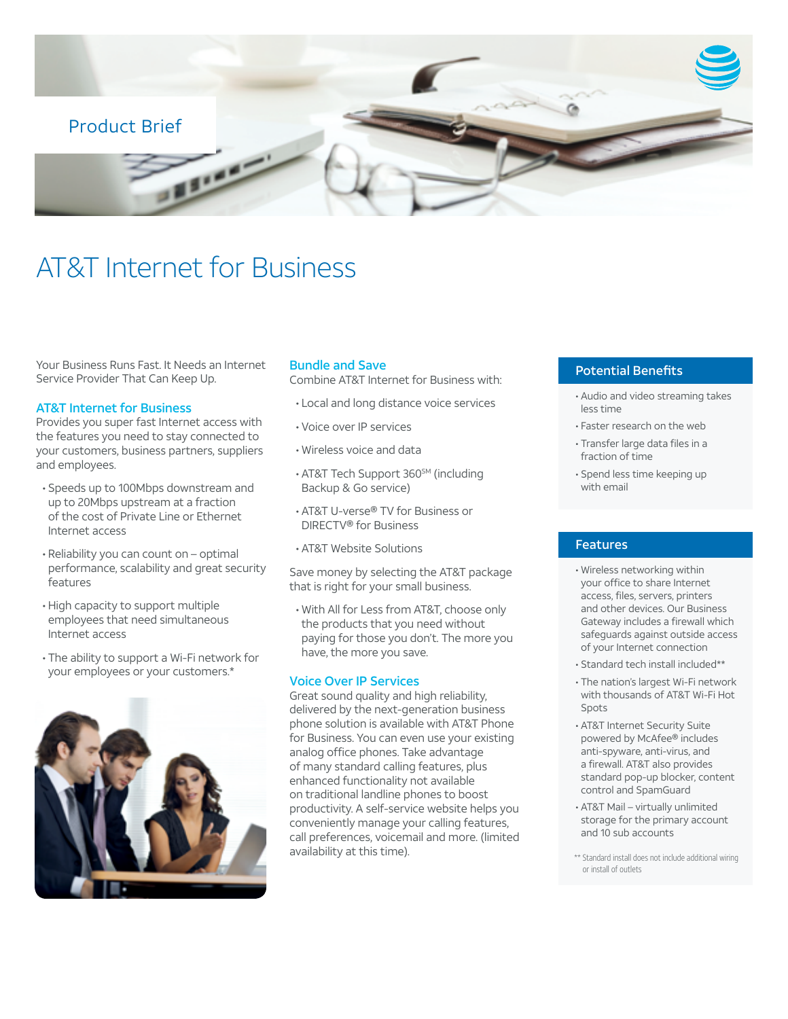

# AT&T Internet for Business

Your Business Runs Fast. It Needs an Internet Service Provider That Can Keep Up.

### AT&T Internet for Business

Provides you super fast Internet access with the features you need to stay connected to your customers, business partners, suppliers and employees.

- Speeds up to 100Mbps downstream and up to 20Mbps upstream at a fraction of the cost of Private Line or Ethernet Internet access
- Reliability you can count on optimal performance, scalability and great security features
- High capacity to support multiple employees that need simultaneous Internet access
- The ability to support a Wi-Fi network for your employees or your customers.\*



#### Bundle and Save

Combine AT&T Internet for Business with:

- Local and long distance voice services
- Voice over IP services
- Wireless voice and data
- AT&T Tech Support 360<sup>SM</sup> (including Backup & Go service)
- AT&T U-verse® TV for Business or DIRECTV® for Business
- AT&T Website Solutions

Save money by selecting the AT&T package that is right for your small business.

• With All for Less from AT&T, choose only the products that you need without paying for those you don't. The more you have, the more you save.

#### Voice Over IP Services

Great sound quality and high reliability, delivered by the next-generation business phone solution is available with AT&T Phone for Business. You can even use your existing analog office phones. Take advantage of many standard calling features, plus enhanced functionality not available on traditional landline phones to boost productivity. A self-service website helps you conveniently manage your calling features, call preferences, voicemail and more. (limited availability at this time).

## Potential Benefits

- Audio and video streaming takes less time
- Faster research on the web
- Transfer large data files in a fraction of time
- Spend less time keeping up with email

## Features

- Wireless networking within your office to share Internet access, files, servers, printers and other devices. Our Business Gateway includes a firewall which safeguards against outside access of your Internet connection
- Standard tech install included\*\*
- The nation's largest Wi-Fi network with thousands of AT&T Wi-Fi Hot Spots
- AT&T Internet Security Suite powered by McAfee® includes anti-spyware, anti-virus, and a firewall. AT&T also provides standard pop-up blocker, content control and SpamGuard
- AT&T Mail virtually unlimited storage for the primary account and 10 sub accounts
- \*\* Standard install does not include additional wiring or install of outlets